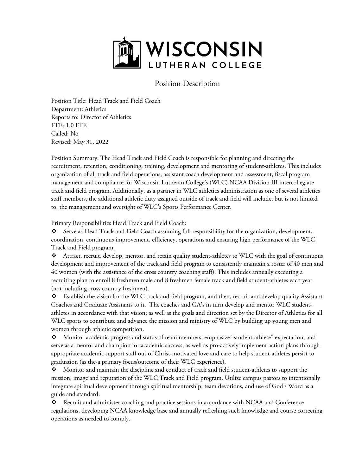

## Position Description

Position Title: Head Track and Field Coach Department: Athletics Reports to: Director of Athletics FTE: 1.0 FTE Called: No Revised: May 31, 2022

Position Summary: The Head Track and Field Coach is responsible for planning and directing the recruitment, retention, conditioning, training, development and mentoring of student-athletes. This includes organization of all track and field operations, assistant coach development and assessment, fiscal program management and compliance for Wisconsin Lutheran College's (WLC) NCAA Division III intercollegiate track and field program. Additionally, as a partner in WLC athletics administration as one of several athletics staff members, the additional athletic duty assigned outside of track and field will include, but is not limited to, the management and oversight of WLC's Sports Performance Center.

Primary Responsibilities Head Track and Field Coach:

 Serve as Head Track and Field Coach assuming full responsibility for the organization, development, coordination, continuous improvement, efficiency, operations and ensuring high performance of the WLC Track and Field program.

 Attract, recruit, develop, mentor, and retain quality student-athletes to WLC with the goal of continuous development and improvement of the track and field program to consistently maintain a roster of 40 men and 40 women (with the assistance of the cross country coaching staff). This includes annually executing a recruiting plan to enroll 8 freshmen male and 8 freshmen female track and field student-athletes each year (not including cross country freshmen).

 Establish the vision for the WLC track and field program, and then, recruit and develop quality Assistant Coaches and Graduate Assistants to it. The coaches and GA's in turn develop and mentor WLC studentathletes in accordance with that vision; as well as the goals and direction set by the Director of Athletics for all WLC sports to contribute and advance the mission and ministry of WLC by building up young men and women through athletic competition.

 Monitor academic progress and status of team members, emphasize "student-athlete" expectation, and serve as a mentor and champion for academic success, as well as pro-actively implement action plans through appropriate academic support staff out of Christ-motivated love and care to help student-athletes persist to graduation (as the-a primary focus/outcome of their WLC experience).

 Monitor and maintain the discipline and conduct of track and field student-athletes to support the mission, image and reputation of the WLC Track and Field program. Utilize campus pastors to intentionally integrate spiritual development through spiritual mentorship, team devotions, and use of God's Word as a guide and standard.

 Recruit and administer coaching and practice sessions in accordance with NCAA and Conference regulations, developing NCAA knowledge base and annually refreshing such knowledge and course correcting operations as needed to comply.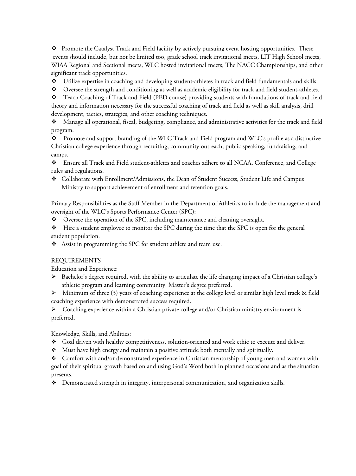$\bullet$  Promote the Catalyst Track and Field facility by actively pursuing event hosting opportunities. These events should include, but not be limited too, grade school track invitational meets, LIT High School meets, WIAA Regional and Sectional meets, WLC hosted invitational meets, The NACC Championships, and other significant track opportunities.

Utilize expertise in coaching and developing student-athletes in track and field fundamentals and skills.

 $\bullet$  Oversee the strength and conditioning as well as academic eligibility for track and field student-athletes.

 Teach Coaching of Track and Field (PED course) providing students with foundations of track and field theory and information necessary for the successful coaching of track and field as well as skill analysis, drill development, tactics, strategies, and other coaching techniques.

 Manage all operational, fiscal, budgeting, compliance, and administrative activities for the track and field program.

 Promote and support branding of the WLC Track and Field program and WLC's profile as a distinctive Christian college experience through recruiting, community outreach, public speaking, fundraising, and camps.

 Ensure all Track and Field student-athletes and coaches adhere to all NCAA, Conference, and College rules and regulations.

 Collaborate with Enrollment/Admissions, the Dean of Student Success, Student Life and Campus Ministry to support achievement of enrollment and retention goals.

Primary Responsibilities as the Staff Member in the Department of Athletics to include the management and oversight of the WLC's Sports Performance Center (SPC):

Oversee the operation of the SPC, including maintenance and cleaning oversight.

 $\bullet\bullet\quad$  Hire a student employee to monitor the SPC during the time that the SPC is open for the general student population.

Assist in programming the SPC for student athlete and team use.

## REQUIREMENTS

Education and Experience:

 Bachelor's degree required, with the ability to articulate the life changing impact of a Christian college's athletic program and learning community. Master's degree preferred.

 $\triangleright$  Minimum of three (3) years of coaching experience at the college level or similar high level track & field coaching experience with demonstrated success required.

 $\triangleright$  Coaching experience within a Christian private college and/or Christian ministry environment is preferred.

Knowledge, Skills, and Abilities:

- Goal driven with healthy competitiveness, solution-oriented and work ethic to execute and deliver.
- $\bullet$  Must have high energy and maintain a positive attitude both mentally and spiritually.

 Comfort with and/or demonstrated experience in Christian mentorship of young men and women with goal of their spiritual growth based on and using God's Word both in planned occasions and as the situation presents.

Demonstrated strength in integrity, interpersonal communication, and organization skills.